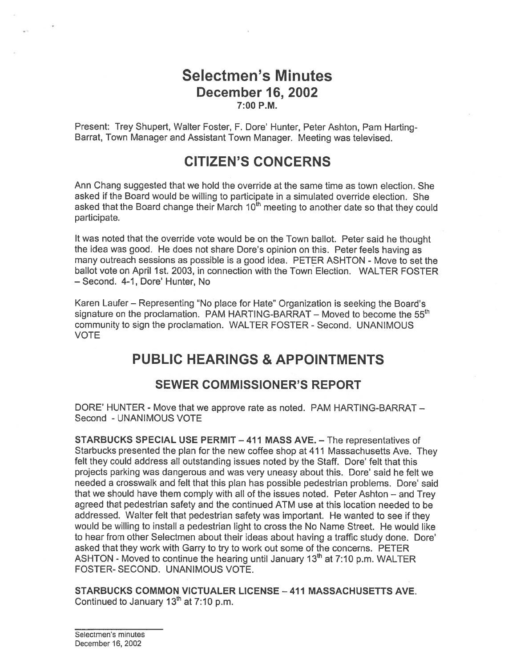## Selectmen's Minutes December 16, 2002 7:00 P.M.

Present: Trey Shupert, Walter Foster, F. Dore' Hunter, Peter Ashton, Pam Harting-Barrat, Town Manager and Assistant Town Manager. Meeting was televised.

# CITIZEN'S CONCERNS

Ann Chang suggested that we hold the override at the same time as town election. She asked if the Board would be willing to participate in <sup>a</sup> simulated override election. She asked that the Board change their March 10<sup>th</sup> meeting to another date so that they could participate.

It was noted that the override vote would be on the Town ballot. Peter said he thought the idea was good. He does not share Dote's opinion on this. Peter feels having as many outreach sessions as possible is <sup>a</sup> good idea. PETER ASHTON - Move to set the ballot vote on April 1st. 2003, in connection with the Town Election. WALTER FOSTER — Second. 4-1, Dote' Hunter, No

Karen Laufer — Representing "No place for Hate" Organization is seeking the Board's signature on the proclamation. PAM HARTING-BARRAT – Moved to become the  $55<sup>th</sup>$ community to sign the proclamation. WALTER FOSTER - Second. UNANIMOUS VOTE

# PUBLIC HEARINGS & APPOINTMENTS

### SEWER COMMISSIONER'S REPORT

DORE' HUNTER - Move that we approve rate as noted. PAM HARTING-BARRAT — Second - UNANIMOUS VOTE

STARBUCKS SPECIAL USE PERMIT —411 MASS AVE. — The representatives of Starbucks presented the <sup>p</sup>lan for the new coffee shop at <sup>411</sup> Massachusetts Ave. They felt they could address all outstanding issues noted by the Staff. Dore' felt that this projects parking was dangerous and was very uneasy about this. Dore' said he felt we needed <sup>a</sup> crosswalk and felt that this <sup>p</sup>lan has possible pedestrian problems. Dote' said that we should have them comply with all of the issues noted. Peter Ashton — and Trey agreed that pedestrian safety and the continued ATM use at this location needed to be addressed. Walter felt that pedestrian safety was important. He wanted to see if they would be willing to install <sup>a</sup> pedestrian light to cross the No Name Street. He would like to hear from other Selectmen about their ideas about having <sup>a</sup> traffic study done. Dore' asked that they work with Garry to try to work out some of the concerns. PETER ASHTON - Moved to continue the hearing until January  $13<sup>th</sup>$  at 7:10 p.m. WALTER FOSTER- SECOND. UNANIMOUS VOTE.

STARBUCKS COMMON VICTUALER LICENSE —411 MASSACHUSETTS AVE. Continued to January  $13<sup>th</sup>$  at 7:10 p.m.

Selectmen's minutes December 16, 2002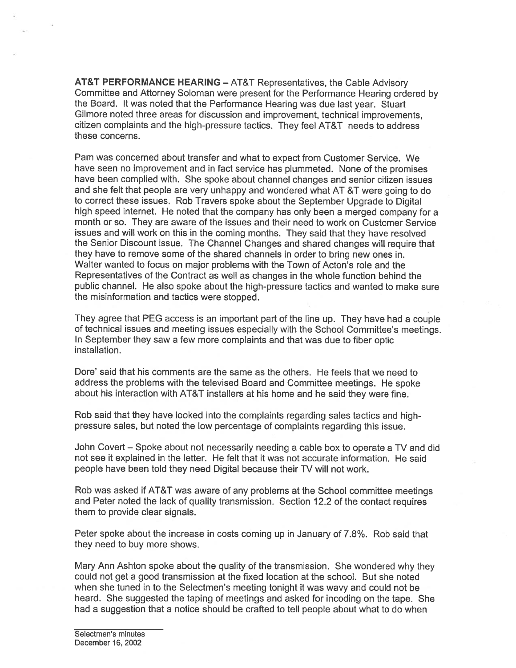AT&T PERFORMANCE HEARING — AT&T Representatives, the Cable Advisory Committee and Attorney Soloman were presen<sup>t</sup> for the Performance Hearing ordered by the Board. It was noted that the Performance Hearing was due last year. Stuart Gilmore noted three areas for discussion and improvement, technical improvements, citizen complaints and the high-pressure tactics. They feel AT&T needs to address these concerns.

Pam was concerned about transfer and what to expec<sup>t</sup> from Customer Service. We have seen no improvement and in fact service has <sup>p</sup>lummeted. None of the promises have been complied with. She spoke about channel changes and senior citizen issues and she felt that people are very unhappy and wondered what AT &T were going to do to correct these issues. Rob Travers spoke about the September Upgrade to Digital high spee<sup>d</sup> internet. He noted that the company has only been <sup>a</sup> merge<sup>d</sup> company for <sup>a</sup> month or so. They are aware of the issues and their need to work on Customer Service issues and will work on this in the coming months. They said that they have resolved the Senior Discount issue. The Channel Changes and shared changes will require that they have to remove some of the shared channels in order to bring new ones in. Walter wanted to focus on major problems with the Town of Acton's role and the Representatives of the Contract as well as changes in the whole function behind the public channel. He also spoke about the high-pressure tactics and wanted to make sure the misinformation and tactics were stopped.

They agree that PEG access is an important par<sup>t</sup> of the line up. They have had <sup>a</sup> couple of technical issues and meeting issues especially with the School Committee's meetings. In September they saw <sup>a</sup> few more complaints and that was due to fiber optic **installation** 

Dore' said that his comments are the same as the others. He feels that we need to address the problems with the televised Board and Committee meetings. He spoke about his interaction with AT&T installers at his home and he said they were fine.

Rob said that they have looked into the complaints regarding sales tactics and highpressure sales, but noted the low percentage of complaints regarding this issue.

John Covert — Spoke about not necessarily needing <sup>a</sup> cable box to operate <sup>a</sup> TV and did not see it explained in the letter. He felt that it was not accurate information. He said people have been told they need Digital because their TV will not work.

Rob was asked if AT&T was aware of any problems at the School committee meetings and Peter noted the lack of quality transmission. Section 12.2 of the contact requires them to provide clear signals.

Peter spoke about the increase in costs coming up in January of 7.8%. Rob said that they need to buy more shows.

Mary Ann Ashton spoke about the quality of the transmission. She wondered why they could not ge<sup>t</sup> <sup>a</sup> good transmission at the fixed location at the school. But she noted when she tuned in to the Selectmen's meeting tonight it was wavy and could not be heard. She suggested the taping of meetings and asked for incoding on the tape. She had <sup>a</sup> suggestion that <sup>a</sup> notice should be crafted to tell people about what to do when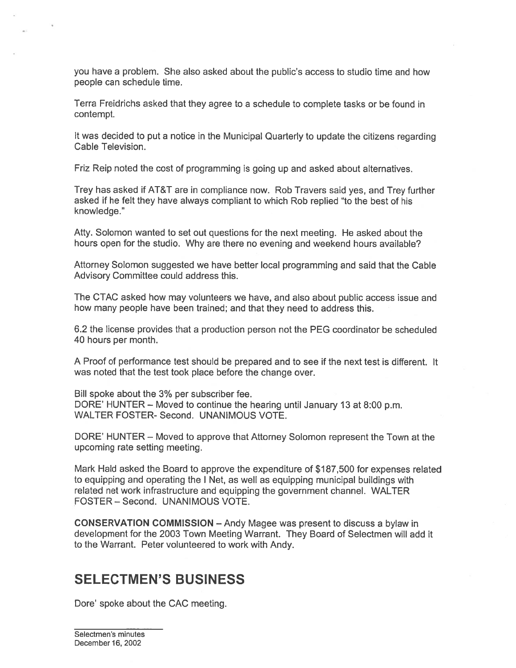you have a problem. She also asked about the public's access to studio time and how people can schedule time.

Terra Freidrichs asked that they agree to <sup>a</sup> schedule to complete tasks or be found in contempt.

It was decided to pu<sup>t</sup> <sup>a</sup> notice in the Municipal Quarterly to update the citizens regarding Cable Television.

Friz Reip noted the cost of programming is going up and asked about alternatives.

Trey has asked if AT&T are in compliance now. Rob Travers said yes, and Trey further asked if he felt they have always compliant to which Rob replied 'to the best of his knowledge."

Atty. Solomon wanted to set out questions for the next meeting. He asked about the hours open for the studio. Why are there no evening and weekend hours available?

Attorney Solomon suggested we have better local programming and said that the Cable Advisory Committee could address this.

The CTAC asked how may volunteers we have, and also about public access issue and how many people have been trained; and that they need to address this.

6.2 the license provides that <sup>a</sup> production person not the PEG coordinator be scheduled 40 hours per month.

A Proof of performance test should be prepared and to see if the next test is different. It was noted that the test took place before the change over.

Bill spoke about the 3% per subscriber fee. DORE' HUNTER — Moved to continue the hearing until January 13 at 8:00 p.m. WALTER FOSTER- Second. UNANIMOUS VOTE.

DORE' HUNTER – Moved to approve that Attorney Solomon represent the Town at the upcoming rate setting meeting.

Mark Hald asked the Board to approve the expenditure of \$187,500 for expenses related to equipping and operating the I Net, as well as equipping municipal buildings with related net work infrastructure and equipping the governmen<sup>t</sup> channel. WALTER FOSTER — Second. UNANIMOUS VOTE.

CONSERVATION COMMISSION — Andy Magee was presen<sup>t</sup> to discuss <sup>a</sup> bylaw in development for the 2003 Town Meeting Warrant. They Board of Selectmen will add it to the Warrant. Peter volunteered to work with Andy.

# SELECTMEN'S BUSINESS

Dore' spoke about the CAC meeting.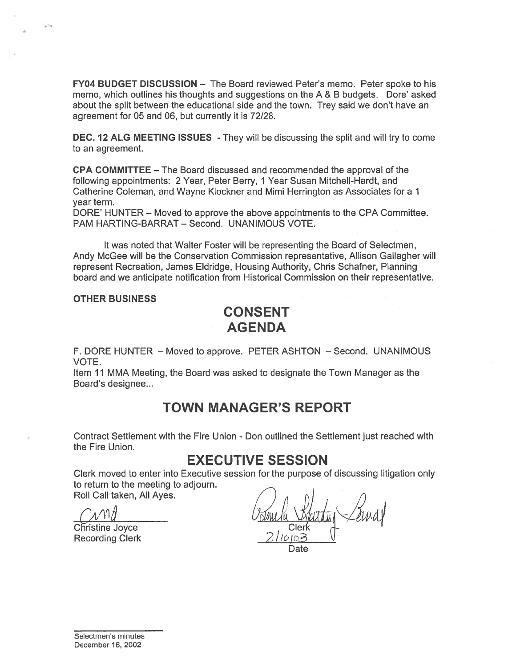FY04 BUDGET DISCUSSION — The Board reviewed Peter's memo. Peter spoke to his memo, which outlines his thoughts and suggestions on the A & B budgets. Dore' asked about the split between the educational side and the town. Trey said we don't have an agreemen<sup>t</sup> for 05 and 06, but currently it is 72/28.

DEC. 12 ALG MEETING ISSUES - They will be discussing the split and will try to come to an agreement.

CPA COMMITTEE — The Board discussed and recommended the approval of the following appointments: 2 Year, Peter Berry, 1 Year Susan Mitchell-Hardt, and Catherine Coleman, and Wayne Klockner and Mimi Herrington as Associates for <sup>a</sup> 1 year term.

DORE' HUNTER — Moved to approve the above appointments to the CPA Committee. PAM HARTING-BARRAT — Second. UNANIMOUS VOTE.

It was noted that Walter Foster will be representing the Board of Selectmen, Andy McGee will be the Conservation Commission representative, Allison Gallagher will represen<sup>t</sup> Recreation, James Eldridge, Housing Authority, Chris Schafner, Planning board and we anticipate notification from Historical Commission on their representative.

#### OTHER BUSINESS

## CONSENT AGENDA

F. DORE HUNTER — Moved to approve. PETER ASHTON — Second. UNANIMOUS VOTE.

Item 11 MMA Meeting, the Board was asked to designate the Town Manager as the Board's designee...

# TOWN MANAGER'S REPORT

Contract Settlement with the Fire Union - Don outlined the Settlement just reached with the Fire Union.

## EXECUTIVE SESSION

Clerk moved to enter into Executive session for the purpose of discussing litigation only to return to the meeting to adjourn.

Roll Call taken, All Ayes.

Christine Joyce Recording Clerk

Date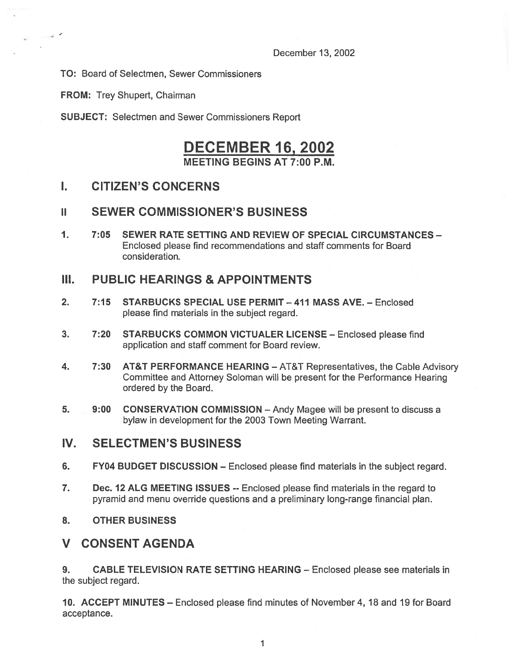December 13, 2002

TO: Board of Selectmen, Sewer Commissioners

FROM: Trey Shupert, Chairman

 $\mathcal{A}$ 

SUBJECT: Selectmen and Sewer Commissioners Report

## DECEMBER 16, 2002 MEETING BEGINS AT 7:00 P.M.

### I. CITIZEN'S CONCERNS

### II SEWER COMMISSIONER'S BUSINESS

1. 7:05 SEWER RATE SETTING AND REVIEW OF SPECIAL CIRCUMSTANCES — Enclosed please find recommendations and staff comments for Board consideration.

### III. PUBLIC HEARINGS & APPOINTMENTS

- 2. 7:15 STARBUCKS SPECIAL USE PERMIT 411 MASS AVE. Enclosed please find materials in the subject regard.
- 3. 7:20 STARBUCKS COMMON VICTUALER LICENSE Enclosed please find application and staff comment for Board review.
- 4. 7:30 AT&T PERFORMANCE HEARING AT&T Representatives, the Cable Advisory Committee and Attorney Soloman will be presen<sup>t</sup> for the Performance Hearing ordered by the Board.
- 5. 9:00 CONSERVATION COMMISSION Andy Magee will be presen<sup>t</sup> to discuss <sup>a</sup> bylaw in development for the 2003 Town Meeting Warrant.

#### IV. SELECTMEN'S BUSINESS

- 6. FY04 BUDGET DISCUSSION Enclosed please find materials in the subject regard.
- 7. Dec. 12 ALG MEETING ISSUES -- Enclosed please find materials in the regard to pyramid and menu override questions and <sup>a</sup> preliminary long-range financial plan.
- 8. OTHER BUSINESS

### V CONSENT AGENDA

9. CABLE TELEVISION RATE SETTING HEARING — Enclosed please see materials in the subject regard.

10. ACCEPT MINUTES — Enclosed please find minutes of November 4, 18 and 19 for Board acceptance.

> $\mathbf{1}$ 1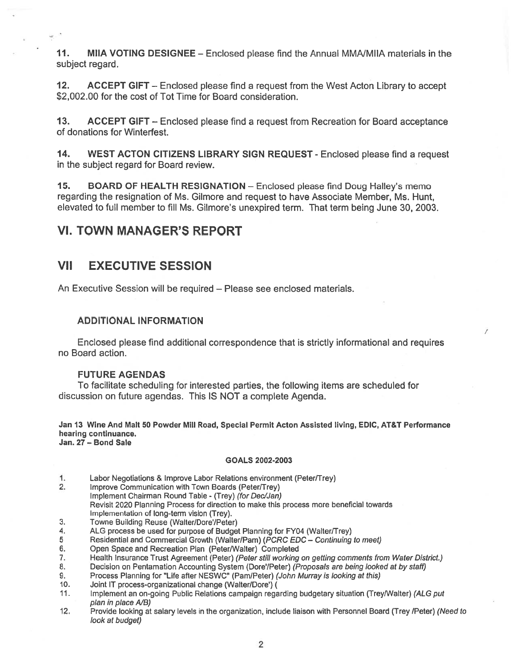11. MIIA VOTING DESIGNEE - Enclosed please find the Annual MMA/MIIA materials in the subject regard.

12. ACCEPT GIFT — Enclosed please find <sup>a</sup> reques<sup>t</sup> from the West Acton Library to accep<sup>t</sup> \$2,002.00 for the cost of Tot Time for Board consideration.

13. ACCEPT GIFT – Enclosed please find a request from Recreation for Board acceptance of donations for Winterfest.

14. WEST ACTON CITIZENS LIBRARY SIGN REQUEST - Enclosed please find <sup>a</sup> reques<sup>t</sup> in the subject regard for Board review.

15. BOARD OF HEALTH RESIGNATION — Enclosed please find Doug Halley's memo regarding the resignation of Ms. Gilmore and reques<sup>t</sup> to have Associate Member, Ms. Hunt, elevated to full member to fill Ms. Gilmore's unexpired term. That term being June 30, 2003.

## VI. TOWN MANAGER'S REPORT

### VII EXECUTIVE SESSION

An Executive Session will be required — Please see enclosed materials.

#### **ADDITIONAL INFORMATION**

Enclosed please find additional correspondence that is strictly informational and requires no Board action.

#### FUTURE AGENDAS

To facilitate scheduling for interested parties, the following items are scheduled for discussion on future agendas. This IS NOT <sup>a</sup> complete Agenda.

Jan 13 Wine And Malt 50 Powder Mill Road, Special Permit Acton Assisted living, EDIC, AT&T Performance hearing continuance. Jan. 27 — Bond Sale

#### GOALS 2002-2003

- 1. Labor Negotiations & Improve Labor Relations environment (Peter/Trey)
- 2. Improve Communication with Town Boards (Peter/Trey) Implement Chairman Round Table - (Trey) (for Dec/Jan) Revisit 2020 Planning Process for direction to make this process more beneficial towards Implementation of long-term vision (Trey).
- 3. Towne Building Reuse (Walter/Dore'/Peter)
- 4. ALG process be used for purpose of Budget Planning for FY04 (Walter/Trey)<br>5 Residential and Commercial Growth (Walter/Pam) (PCRC EDC Continuing
- 5 Residential and Commercial Growth (Walter/Pam) (*PCRC EDC Continuing to meet)*<br>6. Open Space and Recreation Plan (Peter/Walter) Completed
- 6. Open Space and Recreation Plan (Peter/Walter) Completed 7. Health Insurance Trust Agreement (Peter) (Peter still working
- Health Insurance Trust Agreement (Peter) (Peter still working on getting comments from Water District.)
- 8. Decision on Pentamation Accounting System (Dore'/Peter) (Proposals are being looked at by staff)
- 9. Process Planning for "Life after NESWC" (Pam/Peter) (John Murray is looking at this)
- 10. Joint IT process-organizational change (Walter/Dore')
- 11. Implement an on-going Public Relations campaign regarding budgetary situation (Trey/Walter) (ALG pu<sup>t</sup> plan in place A/B)
- 12. Provide looking at salary levels in the organization, include liaison with Personnel Board (Trey /Peter) (Need to look at budget)